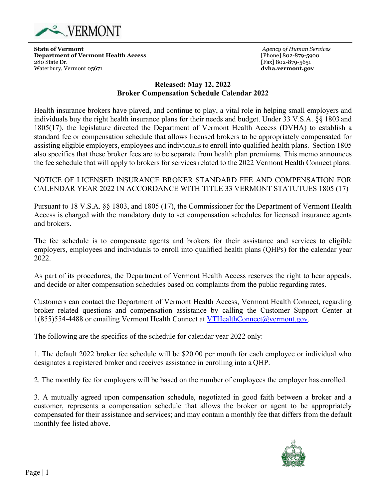

**State of Vermont Department of Vermont Health Access** 280 State Dr. Waterbury, Vermont 05671

*Agency of Human Services* [Phone] 802-879-5900 [Fax] 802-879-5651 **dvha.vermont.gov**

## **Released: May 12, 2022 Broker Compensation Schedule Calendar 2022**

Health insurance brokers have played, and continue to play, a vital role in helping small employers and individuals buy the right health insurance plans for their needs and budget. Under 33 V.S.A. §§ 1803 and 1805(17), the legislature directed the Department of Vermont Health Access (DVHA) to establish a standard fee or compensation schedule that allows licensed brokers to be appropriately compensated for assisting eligible employers, employees and individuals to enroll into qualified health plans. Section 1805 also specifics that these broker fees are to be separate from health plan premiums. This memo announces the fee schedule that will apply to brokers for services related to the 2022 Vermont Health Connect plans.

NOTICE OF LICENSED INSURANCE BROKER STANDARD FEE AND COMPENSATION FOR CALENDAR YEAR 2022 IN ACCORDANCE WITH TITLE 33 VERMONT STATUTUES 1805 (17)

Pursuant to 18 V.S.A. §§ 1803, and 1805 (17), the Commissioner for the Department of Vermont Health Access is charged with the mandatory duty to set compensation schedules for licensed insurance agents and brokers.

The fee schedule is to compensate agents and brokers for their assistance and services to eligible employers, employees and individuals to enroll into qualified health plans (QHPs) for the calendar year 2022.

As part of its procedures, the Department of Vermont Health Access reserves the right to hear appeals, and decide or alter compensation schedules based on complaints from the public regarding rates.

Customers can contact the Department of Vermont Health Access, Vermont Health Connect, regarding broker related questions and compensation assistance by calling the Customer Support Center at 1(855)554-4488 or emailing Vermont Health Connect at [VTHealthConnect@vermont.gov.](mailto:VTHealthConnect@vermont.gov)

The following are the specifics of the schedule for calendar year 2022 only:

1. The default 2022 broker fee schedule will be \$20.00 per month for each employee or individual who designates a registered broker and receives assistance in enrolling into a QHP.

2. The monthly fee for employers will be based on the number of employees the employer has enrolled.

3. A mutually agreed upon compensation schedule, negotiated in good faith between a broker and a customer, represents a compensation schedule that allows the broker or agent to be appropriately compensated for their assistance and services; and may contain a monthly fee that differs from the default monthly fee listed above.



Page | 1